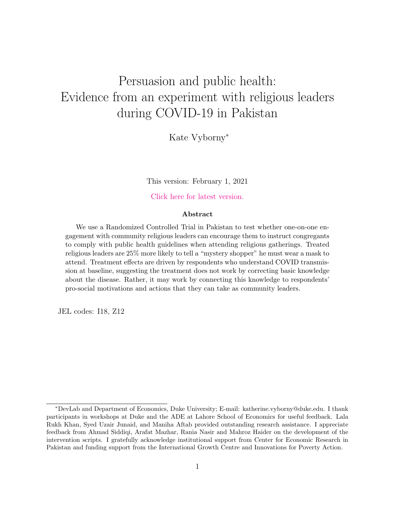# Persuasion and public health: Evidence from an experiment with religious leaders during COVID-19 in Pakistan

Kate Vyborny<sup>∗</sup>

This version: February 1, 2021

[Click here for latest version.](https://www.dropbox.com/s/eb04gvie3hp19kd/Imams_live_web.pdf?dl=0)

#### Abstract

We use a Randomized Controlled Trial in Pakistan to test whether one-on-one engagement with community religious leaders can encourage them to instruct congregants to comply with public health guidelines when attending religious gatherings. Treated religious leaders are 25% more likely to tell a "mystery shopper" he must wear a mask to attend. Treatment effects are driven by respondents who understand COVID transmission at baseline, suggesting the treatment does not work by correcting basic knowledge about the disease. Rather, it may work by connecting this knowledge to respondents' pro-social motivations and actions that they can take as community leaders.

JEL codes: I18, Z12

<sup>∗</sup>DevLab and Department of Economics, Duke University; E-mail: katherine.vyborny@duke.edu. I thank participants in workshops at Duke and the ADE at Lahore School of Economics for useful feedback. Lala Rukh Khan, Syed Uzair Junaid, and Maniha Aftab provided outstanding research assistance. I appreciate feedback from Ahmad Siddiqi, Arafat Mazhar, Rania Nasir and Mahroz Haider on the development of the intervention scripts. I gratefully acknowledge institutional support from Center for Economic Research in Pakistan and funding support from the International Growth Centre and Innovations for Poverty Action.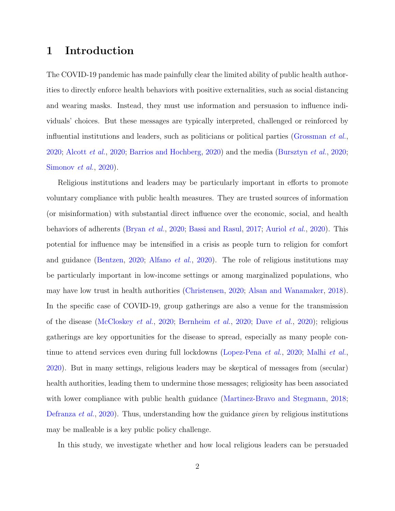# 1 Introduction

The COVID-19 pandemic has made painfully clear the limited ability of public health authorities to directly enforce health behaviors with positive externalities, such as social distancing and wearing masks. Instead, they must use information and persuasion to influence individuals' choices. But these messages are typically interpreted, challenged or reinforced by influential institutions and leaders, such as politicians or political parties [\(Grossman](#page-16-0) et al., [2020;](#page-16-0) [Alcott](#page-13-0) et al., [2020;](#page-13-0) [Barrios and Hochberg,](#page-14-0) [2020\)](#page-14-0) and the media [\(Bursztyn](#page-15-0) et al., [2020;](#page-15-0) [Simonov](#page-19-0) et al., [2020\)](#page-19-0).

Religious institutions and leaders may be particularly important in efforts to promote voluntary compliance with public health measures. They are trusted sources of information (or misinformation) with substantial direct influence over the economic, social, and health behaviors of adherents [\(Bryan](#page-14-1) et al., [2020;](#page-14-1) [Bassi and Rasul,](#page-14-2) [2017;](#page-14-2) [Auriol](#page-13-1) et al., [2020\)](#page-13-1). This potential for influence may be intensified in a crisis as people turn to religion for comfort and guidance [\(Bentzen,](#page-14-3) [2020;](#page-14-3) [Alfano](#page-13-2) et al., [2020\)](#page-13-2). The role of religious institutions may be particularly important in low-income settings or among marginalized populations, who may have low trust in health authorities [\(Christensen,](#page-15-1) [2020;](#page-15-1) [Alsan and Wanamaker,](#page-13-3) [2018\)](#page-13-3). In the specific case of COVID-19, group gatherings are also a venue for the transmission of the disease [\(McCloskey](#page-18-0) et al., [2020;](#page-18-0) [Bernheim](#page-14-4) et al., [2020;](#page-14-4) Dave [et al.](#page-15-2), [2020\)](#page-15-2); religious gatherings are key opportunities for the disease to spread, especially as many people con-tinue to attend services even during full lockdowns [\(Lopez-Pena](#page-17-0) *et al.*, [2020;](#page-17-0) [Malhi](#page-18-1) *et al.*, [2020\)](#page-18-1). But in many settings, religious leaders may be skeptical of messages from (secular) health authorities, leading them to undermine those messages; religiosity has been associated with lower compliance with public health guidance [\(Martinez-Bravo and Stegmann,](#page-18-2) [2018;](#page-18-2) [Defranza](#page-15-3) *et al.*, [2020\)](#page-15-3). Thus, understanding how the guidance *given* by religious institutions may be malleable is a key public policy challenge.

In this study, we investigate whether and how local religious leaders can be persuaded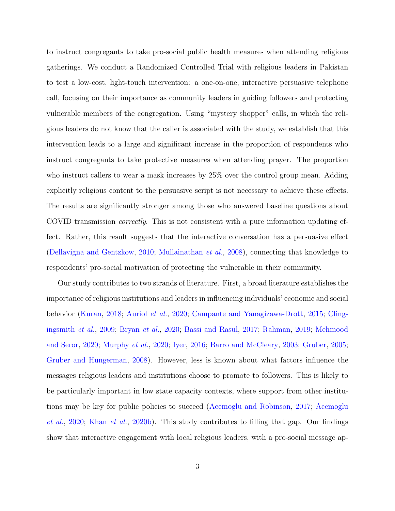to instruct congregants to take pro-social public health measures when attending religious gatherings. We conduct a Randomized Controlled Trial with religious leaders in Pakistan to test a low-cost, light-touch intervention: a one-on-one, interactive persuasive telephone call, focusing on their importance as community leaders in guiding followers and protecting vulnerable members of the congregation. Using "mystery shopper" calls, in which the religious leaders do not know that the caller is associated with the study, we establish that this intervention leads to a large and significant increase in the proportion of respondents who instruct congregants to take protective measures when attending prayer. The proportion who instruct callers to wear a mask increases by 25% over the control group mean. Adding explicitly religious content to the persuasive script is not necessary to achieve these effects. The results are significantly stronger among those who answered baseline questions about COVID transmission *correctly*. This is not consistent with a pure information updating effect. Rather, this result suggests that the interactive conversation has a persuasive effect [\(Dellavigna and Gentzkow,](#page-15-4) [2010;](#page-15-4) [Mullainathan](#page-18-3) et al., [2008\)](#page-18-3), connecting that knowledge to respondents' pro-social motivation of protecting the vulnerable in their community.

Our study contributes to two strands of literature. First, a broad literature establishes the importance of religious institutions and leaders in influencing individuals' economic and social behavior [\(Kuran,](#page-17-1) [2018;](#page-17-1) [Auriol](#page-13-1) et al., [2020;](#page-13-1) [Campante and Yanagizawa-Drott,](#page-15-5) [2015;](#page-15-5) [Cling](#page-15-6)[ingsmith](#page-15-6) et al., [2009;](#page-15-6) [Bryan](#page-14-1) et al., [2020;](#page-14-1) [Bassi and Rasul,](#page-14-2) [2017;](#page-14-2) [Rahman,](#page-19-1) [2019;](#page-19-1) [Mehmood](#page-18-4) [and Seror,](#page-18-4) [2020;](#page-18-4) [Murphy](#page-18-5) et al., [2020;](#page-18-5) [Iyer,](#page-16-1) [2016;](#page-16-1) [Barro and McCleary,](#page-14-5) [2003;](#page-14-5) [Gruber,](#page-16-2) [2005;](#page-16-2) [Gruber and Hungerman,](#page-16-3) [2008\)](#page-16-3). However, less is known about what factors influence the messages religious leaders and institutions choose to promote to followers. This is likely to be particularly important in low state capacity contexts, where support from other institutions may be key for public policies to succeed [\(Acemoglu and Robinson,](#page-13-4) [2017;](#page-13-4) [Acemoglu](#page-13-5) [et al.](#page-13-5), [2020;](#page-13-5) [Khan](#page-17-2) et al., [2020b\)](#page-17-2). This study contributes to filling that gap. Our findings show that interactive engagement with local religious leaders, with a pro-social message ap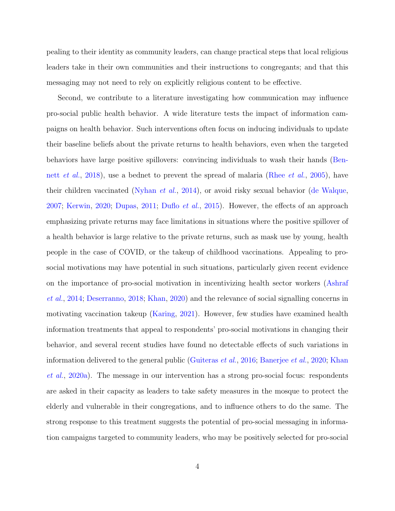pealing to their identity as community leaders, can change practical steps that local religious leaders take in their own communities and their instructions to congregants; and that this messaging may not need to rely on explicitly religious content to be effective.

Second, we contribute to a literature investigating how communication may influence pro-social public health behavior. A wide literature tests the impact of information campaigns on health behavior. Such interventions often focus on inducing individuals to update their baseline beliefs about the private returns to health behaviors, even when the targeted behaviors have large positive spillovers: convincing individuals to wash their hands [\(Ben](#page-14-6)nett [et al.](#page-14-6), [2018\)](#page-14-6), use a bednet to prevent the spread of malaria [\(Rhee](#page-19-2) et al., [2005\)](#page-19-2), have their children vaccinated [\(Nyhan](#page-18-6) *et al.*, [2014\)](#page-18-6), or avoid risky sexual behavior [\(de Walque,](#page-15-7) [2007;](#page-15-7) [Kerwin,](#page-17-3) [2020;](#page-17-3) [Dupas,](#page-16-4) [2011;](#page-16-4) [Duflo](#page-16-5) et al., [2015\)](#page-16-5). However, the effects of an approach emphasizing private returns may face limitations in situations where the positive spillover of a health behavior is large relative to the private returns, such as mask use by young, health people in the case of COVID, or the takeup of childhood vaccinations. Appealing to prosocial motivations may have potential in such situations, particularly given recent evidence on the importance of pro-social motivation in incentivizing health sector workers [\(Ashraf](#page-13-6) [et al.](#page-13-6), [2014;](#page-13-6) [Deserranno,](#page-15-8) [2018;](#page-15-8) [Khan,](#page-17-4) [2020\)](#page-17-4) and the relevance of social signalling concerns in motivating vaccination takeup [\(Karing,](#page-17-5) [2021\)](#page-17-5). However, few studies have examined health information treatments that appeal to respondents' pro-social motivations in changing their behavior, and several recent studies have found no detectable effects of such variations in information delivered to the general public [\(Guiteras](#page-16-6) et al., [2016;](#page-16-6) [Banerjee](#page-13-7) et al., [2020;](#page-13-7) [Khan](#page-17-6) [et al.](#page-17-6), [2020a\)](#page-17-6). The message in our intervention has a strong pro-social focus: respondents are asked in their capacity as leaders to take safety measures in the mosque to protect the elderly and vulnerable in their congregations, and to influence others to do the same. The strong response to this treatment suggests the potential of pro-social messaging in information campaigns targeted to community leaders, who may be positively selected for pro-social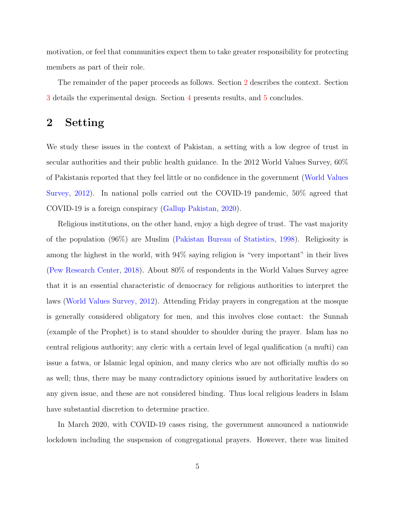motivation, or feel that communities expect them to take greater responsibility for protecting members as part of their role.

The remainder of the paper proceeds as follows. Section [2](#page-4-0) describes the context. Section [3](#page-5-0) details the experimental design. Section [4](#page-8-0) presents results, and [5](#page-12-0) concludes.

# <span id="page-4-0"></span>2 Setting

We study these issues in the context of Pakistan, a setting with a low degree of trust in secular authorities and their public health guidance. In the 2012 World Values Survey, 60% of Pakistanis reported that they feel little or no confidence in the government [\(World Values](#page-19-3) [Survey,](#page-19-3) [2012\)](#page-19-3). In national polls carried out the COVID-19 pandemic, 50% agreed that COVID-19 is a foreign conspiracy [\(Gallup Pakistan,](#page-16-7) [2020\)](#page-16-7).

Religious institutions, on the other hand, enjoy a high degree of trust. The vast majority of the population (96%) are Muslim [\(Pakistan Bureau of Statistics,](#page-18-7) [1998\)](#page-18-7). Religiosity is among the highest in the world, with 94% saying religion is "very important" in their lives [\(Pew Research Center,](#page-19-4) [2018\)](#page-19-4). About 80% of respondents in the World Values Survey agree that it is an essential characteristic of democracy for religious authorities to interpret the laws [\(World Values Survey,](#page-19-3) [2012\)](#page-19-3). Attending Friday prayers in congregation at the mosque is generally considered obligatory for men, and this involves close contact: the Sunnah (example of the Prophet) is to stand shoulder to shoulder during the prayer. Islam has no central religious authority; any cleric with a certain level of legal qualification (a mufti) can issue a fatwa, or Islamic legal opinion, and many clerics who are not officially muftis do so as well; thus, there may be many contradictory opinions issued by authoritative leaders on any given issue, and these are not considered binding. Thus local religious leaders in Islam have substantial discretion to determine practice.

In March 2020, with COVID-19 cases rising, the government announced a nationwide lockdown including the suspension of congregational prayers. However, there was limited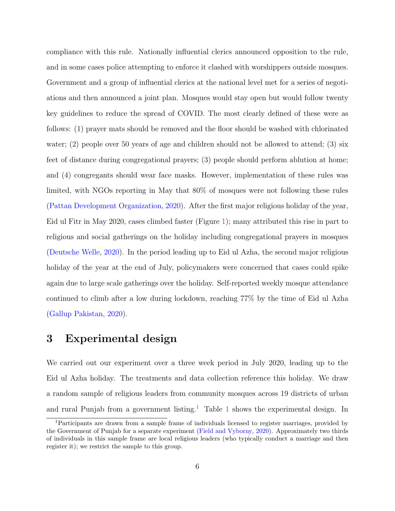compliance with this rule. Nationally influential clerics announced opposition to the rule, and in some cases police attempting to enforce it clashed with worshippers outside mosques. Government and a group of influential clerics at the national level met for a series of negotiations and then announced a joint plan. Mosques would stay open but would follow twenty key guidelines to reduce the spread of COVID. The most clearly defined of these were as follows: (1) prayer mats should be removed and the floor should be washed with chlorinated water; (2) people over 50 years of age and children should not be allowed to attend; (3) six feet of distance during congregational prayers; (3) people should perform ablution at home; and (4) congregants should wear face masks. However, implementation of these rules was limited, with NGOs reporting in May that 80% of mosques were not following these rules [\(Pattan Development Organization,](#page-18-8) [2020\)](#page-18-8). After the first major religious holiday of the year, Eid ul Fitr in May 2020, cases climbed faster (Figure [1\)](#page-20-0); many attributed this rise in part to religious and social gatherings on the holiday including congregational prayers in mosques [\(Deutsche Welle,](#page-15-9) [2020\)](#page-15-9). In the period leading up to Eid ul Azha, the second major religious holiday of the year at the end of July, policymakers were concerned that cases could spike again due to large scale gatherings over the holiday. Self-reported weekly mosque attendance continued to climb after a low during lockdown, reaching 77% by the time of Eid ul Azha [\(Gallup Pakistan,](#page-16-7) [2020\)](#page-16-7).

# <span id="page-5-0"></span>3 Experimental design

We carried out our experiment over a three week period in July 2020, leading up to the Eid ul Azha holiday. The treatments and data collection reference this holiday. We draw a random sample of religious leaders from community mosques across 19 districts of urban and rural Punjab from a government listing.<sup>[1](#page-20-1)</sup> Table 1 shows the experimental design. In

<span id="page-5-1"></span><sup>1</sup>Participants are drawn from a sample frame of individuals licensed to register marriages, provided by the Government of Punjab for a separate experiment [\(Field and Vyborny,](#page-16-8) [2020\)](#page-16-8). Approximately two thirds of individuals in this sample frame are local religious leaders (who typically conduct a marriage and then register it); we restrict the sample to this group.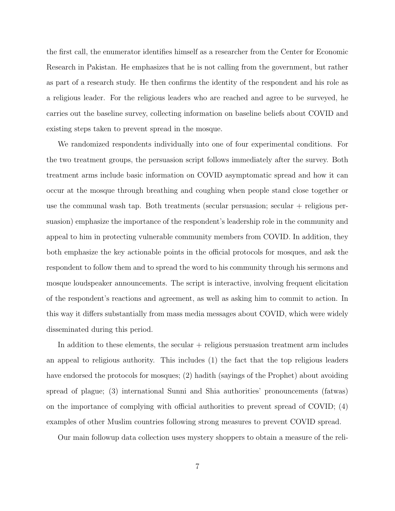the first call, the enumerator identifies himself as a researcher from the Center for Economic Research in Pakistan. He emphasizes that he is not calling from the government, but rather as part of a research study. He then confirms the identity of the respondent and his role as a religious leader. For the religious leaders who are reached and agree to be surveyed, he carries out the baseline survey, collecting information on baseline beliefs about COVID and existing steps taken to prevent spread in the mosque.

We randomized respondents individually into one of four experimental conditions. For the two treatment groups, the persuasion script follows immediately after the survey. Both treatment arms include basic information on COVID asymptomatic spread and how it can occur at the mosque through breathing and coughing when people stand close together or use the communal wash tap. Both treatments (secular persuasion; secular  $+$  religious persuasion) emphasize the importance of the respondent's leadership role in the community and appeal to him in protecting vulnerable community members from COVID. In addition, they both emphasize the key actionable points in the official protocols for mosques, and ask the respondent to follow them and to spread the word to his community through his sermons and mosque loudspeaker announcements. The script is interactive, involving frequent elicitation of the respondent's reactions and agreement, as well as asking him to commit to action. In this way it differs substantially from mass media messages about COVID, which were widely disseminated during this period.

In addition to these elements, the secular + religious persuasion treatment arm includes an appeal to religious authority. This includes (1) the fact that the top religious leaders have endorsed the protocols for mosques; (2) hadith (sayings of the Prophet) about avoiding spread of plague; (3) international Sunni and Shia authorities' pronouncements (fatwas) on the importance of complying with official authorities to prevent spread of COVID; (4) examples of other Muslim countries following strong measures to prevent COVID spread.

Our main followup data collection uses mystery shoppers to obtain a measure of the reli-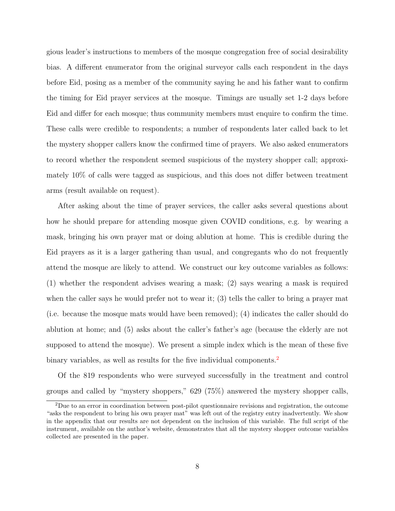gious leader's instructions to members of the mosque congregation free of social desirability bias. A different enumerator from the original surveyor calls each respondent in the days before Eid, posing as a member of the community saying he and his father want to confirm the timing for Eid prayer services at the mosque. Timings are usually set 1-2 days before Eid and differ for each mosque; thus community members must enquire to confirm the time. These calls were credible to respondents; a number of respondents later called back to let the mystery shopper callers know the confirmed time of prayers. We also asked enumerators to record whether the respondent seemed suspicious of the mystery shopper call; approximately 10% of calls were tagged as suspicious, and this does not differ between treatment arms (result available on request).

After asking about the time of prayer services, the caller asks several questions about how he should prepare for attending mosque given COVID conditions, e.g. by wearing a mask, bringing his own prayer mat or doing ablution at home. This is credible during the Eid prayers as it is a larger gathering than usual, and congregants who do not frequently attend the mosque are likely to attend. We construct our key outcome variables as follows: (1) whether the respondent advises wearing a mask; (2) says wearing a mask is required when the caller says he would prefer not to wear it; (3) tells the caller to bring a prayer mat (i.e. because the mosque mats would have been removed); (4) indicates the caller should do ablution at home; and (5) asks about the caller's father's age (because the elderly are not supposed to attend the mosque). We present a simple index which is the mean of these five binary variables, as well as results for the five individual components.<sup>[2](#page-7-0)</sup>

Of the 819 respondents who were surveyed successfully in the treatment and control groups and called by "mystery shoppers," 629 (75%) answered the mystery shopper calls,

<span id="page-7-0"></span><sup>2</sup>Due to an error in coordination between post-pilot questionnaire revisions and registration, the outcome "asks the respondent to bring his own prayer mat" was left out of the registry entry inadvertently. We show in the appendix that our results are not dependent on the inclusion of this variable. The full script of the instrument, available on the author's website, demonstrates that all the mystery shopper outcome variables collected are presented in the paper.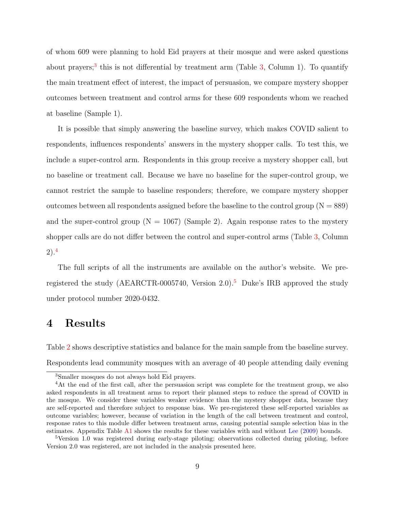of whom 609 were planning to hold Eid prayers at their mosque and were asked questions about prayers;<sup>[3](#page-8-1)</sup> this is not differential by treatment arm (Table  $3$ , Column 1). To quantify the main treatment effect of interest, the impact of persuasion, we compare mystery shopper outcomes between treatment and control arms for these 609 respondents whom we reached at baseline (Sample 1).

It is possible that simply answering the baseline survey, which makes COVID salient to respondents, influences respondents' answers in the mystery shopper calls. To test this, we include a super-control arm. Respondents in this group receive a mystery shopper call, but no baseline or treatment call. Because we have no baseline for the super-control group, we cannot restrict the sample to baseline responders; therefore, we compare mystery shopper outcomes between all respondents assigned before the baseline to the control group ( $N = 889$ ) and the super-control group ( $N = 1067$ ) (Sample 2). Again response rates to the mystery shopper calls are do not differ between the control and super-control arms (Table [3,](#page-22-0) Column 2).[4](#page-8-2)

The full scripts of all the instruments are available on the author's website. We pre-registered the study (AEARCTR-000[5](#page-8-3)740, Version 2.0).<sup>5</sup> Duke's IRB approved the study under protocol number 2020-0432.

### <span id="page-8-0"></span>4 Results

Table [2](#page-21-0) shows descriptive statistics and balance for the main sample from the baseline survey. Respondents lead community mosques with an average of 40 people attending daily evening

<span id="page-8-2"></span><span id="page-8-1"></span><sup>3</sup>Smaller mosques do not always hold Eid prayers.

<sup>&</sup>lt;sup>4</sup>At the end of the first call, after the persuasion script was complete for the treatment group, we also asked respondents in all treatment arms to report their planned steps to reduce the spread of COVID in the mosque. We consider these variables weaker evidence than the mystery shopper data, because they are self-reported and therefore subject to response bias. We pre-registered these self-reported variables as outcome variables; however, because of variation in the length of the call between treatment and control, response rates to this module differ between treatment arms, causing potential sample selection bias in the estimates. Appendix Table [A1](#page-20-1) shows the results for these variables with and without [Lee](#page-17-7) [\(2009\)](#page-17-7) bounds.

<span id="page-8-3"></span><sup>5</sup>Version 1.0 was registered during early-stage piloting; observations collected during piloting, before Version 2.0 was registered, are not included in the analysis presented here.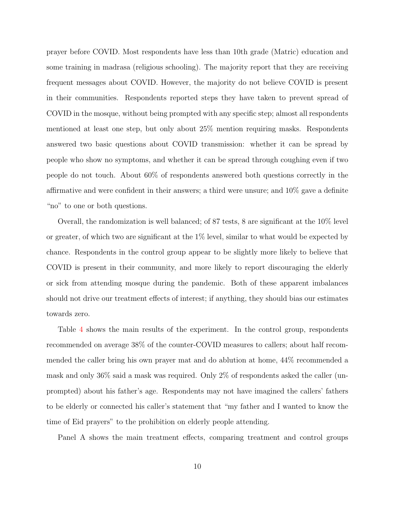prayer before COVID. Most respondents have less than 10th grade (Matric) education and some training in madrasa (religious schooling). The majority report that they are receiving frequent messages about COVID. However, the majority do not believe COVID is present in their communities. Respondents reported steps they have taken to prevent spread of COVID in the mosque, without being prompted with any specific step; almost all respondents mentioned at least one step, but only about 25% mention requiring masks. Respondents answered two basic questions about COVID transmission: whether it can be spread by people who show no symptoms, and whether it can be spread through coughing even if two people do not touch. About 60% of respondents answered both questions correctly in the affirmative and were confident in their answers; a third were unsure; and 10% gave a definite "no" to one or both questions.

Overall, the randomization is well balanced; of 87 tests, 8 are significant at the 10% level or greater, of which two are significant at the  $1\%$  level, similar to what would be expected by chance. Respondents in the control group appear to be slightly more likely to believe that COVID is present in their community, and more likely to report discouraging the elderly or sick from attending mosque during the pandemic. Both of these apparent imbalances should not drive our treatment effects of interest; if anything, they should bias our estimates towards zero.

Table [4](#page-22-1) shows the main results of the experiment. In the control group, respondents recommended on average 38% of the counter-COVID measures to callers; about half recommended the caller bring his own prayer mat and do ablution at home, 44% recommended a mask and only 36% said a mask was required. Only 2% of respondents asked the caller (unprompted) about his father's age. Respondents may not have imagined the callers' fathers to be elderly or connected his caller's statement that "my father and I wanted to know the time of Eid prayers" to the prohibition on elderly people attending.

Panel A shows the main treatment effects, comparing treatment and control groups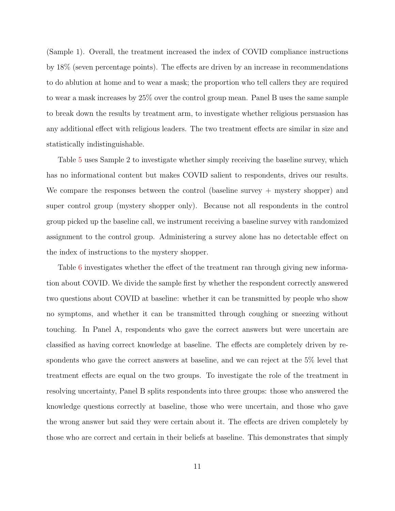(Sample 1). Overall, the treatment increased the index of COVID compliance instructions by 18% (seven percentage points). The effects are driven by an increase in recommendations to do ablution at home and to wear a mask; the proportion who tell callers they are required to wear a mask increases by 25% over the control group mean. Panel B uses the same sample to break down the results by treatment arm, to investigate whether religious persuasion has any additional effect with religious leaders. The two treatment effects are similar in size and statistically indistinguishable.

Table [5](#page-23-0) uses Sample 2 to investigate whether simply receiving the baseline survey, which has no informational content but makes COVID salient to respondents, drives our results. We compare the responses between the control (baseline survey + mystery shopper) and super control group (mystery shopper only). Because not all respondents in the control group picked up the baseline call, we instrument receiving a baseline survey with randomized assignment to the control group. Administering a survey alone has no detectable effect on the index of instructions to the mystery shopper.

Table [6](#page-23-1) investigates whether the effect of the treatment ran through giving new information about COVID. We divide the sample first by whether the respondent correctly answered two questions about COVID at baseline: whether it can be transmitted by people who show no symptoms, and whether it can be transmitted through coughing or sneezing without touching. In Panel A, respondents who gave the correct answers but were uncertain are classified as having correct knowledge at baseline. The effects are completely driven by respondents who gave the correct answers at baseline, and we can reject at the 5% level that treatment effects are equal on the two groups. To investigate the role of the treatment in resolving uncertainty, Panel B splits respondents into three groups: those who answered the knowledge questions correctly at baseline, those who were uncertain, and those who gave the wrong answer but said they were certain about it. The effects are driven completely by those who are correct and certain in their beliefs at baseline. This demonstrates that simply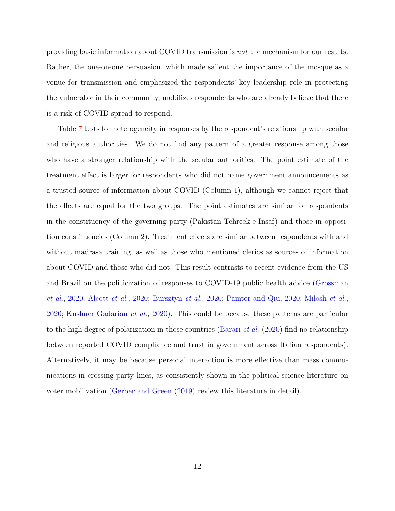providing basic information about COVID transmission is not the mechanism for our results. Rather, the one-on-one persuasion, which made salient the importance of the mosque as a venue for transmission and emphasized the respondents' key leadership role in protecting the vulnerable in their community, mobilizes respondents who are already believe that there is a risk of COVID spread to respond.

Table [7](#page-24-0) tests for heterogeneity in responses by the respondent's relationship with secular and religious authorities. We do not find any pattern of a greater response among those who have a stronger relationship with the secular authorities. The point estimate of the treatment effect is larger for respondents who did not name government announcements as a trusted source of information about COVID (Column 1), although we cannot reject that the effects are equal for the two groups. The point estimates are similar for respondents in the constituency of the governing party (Pakistan Tehreek-e-Insaf) and those in opposition constituencies (Column 2). Treatment effects are similar between respondents with and without madrasa training, as well as those who mentioned clerics as sources of information about COVID and those who did not. This result contrasts to recent evidence from the US and Brazil on the politicization of responses to COVID-19 public health advice [\(Grossman](#page-16-0) [et al.](#page-16-0), [2020;](#page-16-0) [Alcott](#page-13-0) et al., [2020;](#page-13-0) [Bursztyn](#page-15-0) et al., [2020;](#page-15-0) [Painter and Qiu,](#page-18-9) [2020;](#page-18-9) [Milosh](#page-18-10) et al., [2020;](#page-18-10) [Kushner Gadarian](#page-17-8) et al., [2020\)](#page-17-8). This could be because these patterns are particular to the high degree of polarization in those countries [\(Barari](#page-14-7) *et al.* [\(2020\)](#page-14-7) find no relationship between reported COVID compliance and trust in government across Italian respondents). Alternatively, it may be because personal interaction is more effective than mass communications in crossing party lines, as consistently shown in the political science literature on voter mobilization [\(Gerber and Green](#page-16-9) [\(2019\)](#page-16-9) review this literature in detail).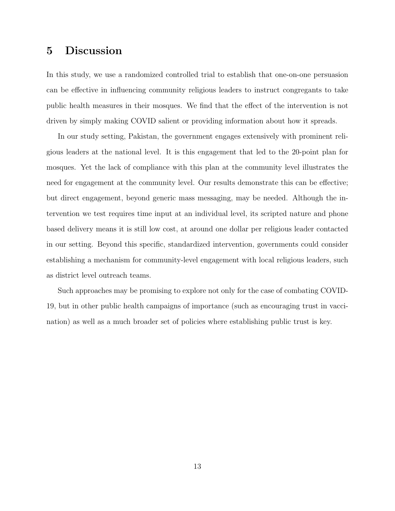# <span id="page-12-0"></span>5 Discussion

In this study, we use a randomized controlled trial to establish that one-on-one persuasion can be effective in influencing community religious leaders to instruct congregants to take public health measures in their mosques. We find that the effect of the intervention is not driven by simply making COVID salient or providing information about how it spreads.

In our study setting, Pakistan, the government engages extensively with prominent religious leaders at the national level. It is this engagement that led to the 20-point plan for mosques. Yet the lack of compliance with this plan at the community level illustrates the need for engagement at the community level. Our results demonstrate this can be effective; but direct engagement, beyond generic mass messaging, may be needed. Although the intervention we test requires time input at an individual level, its scripted nature and phone based delivery means it is still low cost, at around one dollar per religious leader contacted in our setting. Beyond this specific, standardized intervention, governments could consider establishing a mechanism for community-level engagement with local religious leaders, such as district level outreach teams.

Such approaches may be promising to explore not only for the case of combating COVID-19, but in other public health campaigns of importance (such as encouraging trust in vaccination) as well as a much broader set of policies where establishing public trust is key.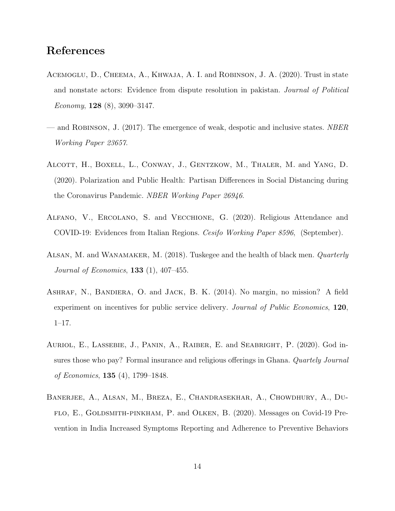# References

- <span id="page-13-5"></span>Acemoglu, D., Cheema, A., Khwaja, A. I. and Robinson, J. A. (2020). Trust in state and nonstate actors: Evidence from dispute resolution in pakistan. Journal of Political Economy, 128 (8), 3090–3147.
- <span id="page-13-4"></span>— and ROBINSON, J.  $(2017)$ . The emergence of weak, despotic and inclusive states. *NBER* Working Paper 23657.
- <span id="page-13-0"></span>Alcott, H., Boxell, L., Conway, J., Gentzkow, M., Thaler, M. and Yang, D. (2020). Polarization and Public Health: Partisan Differences in Social Distancing during the Coronavirus Pandemic. NBER Working Paper 26946.
- <span id="page-13-2"></span>Alfano, V., Ercolano, S. and Vecchione, G. (2020). Religious Attendance and COVID-19: Evidences from Italian Regions. Cesifo Working Paper 8596, (September).
- <span id="page-13-3"></span>Alsan, M. and Wanamaker, M. (2018). Tuskegee and the health of black men. Quarterly *Journal of Economics*, **133** (1),  $407-455$ .
- <span id="page-13-6"></span>ASHRAF, N., BANDIERA, O. and JACK, B. K. (2014). No margin, no mission? A field experiment on incentives for public service delivery. Journal of Public Economics, 120, 1–17.
- <span id="page-13-1"></span>Auriol, E., Lassebie, J., Panin, A., Raiber, E. and Seabright, P. (2020). God insures those who pay? Formal insurance and religious offerings in Ghana. Quartely Journal of Economics, 135 (4), 1799–1848.
- <span id="page-13-7"></span>Banerjee, A., Alsan, M., Breza, E., Chandrasekhar, A., Chowdhury, A., Duflo, E., Goldsmith-pinkham, P. and Olken, B. (2020). Messages on Covid-19 Prevention in India Increased Symptoms Reporting and Adherence to Preventive Behaviors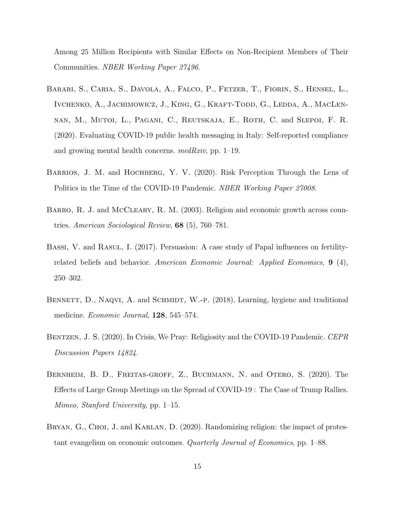Among 25 Million Recipients with Similar Effects on Non-Recipient Members of Their Communities. NBER Working Paper 27496.

- <span id="page-14-7"></span>Barari, S., Caria, S., Davola, A., Falco, P., Fetzer, T., Fiorin, S., Hensel, L., IVCHENKO, A., JACHIMOWICZ, J., KING, G., KRAFT-TODD, G., LEDDA, A., MACLENnan, M., Mutoi, L., Pagani, C., Reutskaja, E., Roth, C. and Slepoi, F. R. (2020). Evaluating COVID-19 public health messaging in Italy: Self-reported compliance and growing mental health concerns. medRxiv, pp. 1–19.
- <span id="page-14-0"></span>BARRIOS, J. M. and HOCHBERG, Y. V. (2020). Risk Perception Through the Lens of Politics in the Time of the COVID-19 Pandemic. NBER Working Paper 27008.
- <span id="page-14-5"></span>BARRO, R. J. and MCCLEARY, R. M. (2003). Religion and economic growth across countries. American Sociological Review, 68 (5), 760–781.
- <span id="page-14-2"></span>BASSI, V. and RASUL, I. (2017). Persuasion: A case study of Papal influences on fertilityrelated beliefs and behavior. American Economic Journal: Applied Economics, 9 (4), 250–302.
- <span id="page-14-6"></span>BENNETT, D., NAQVI, A. and SCHMIDT, W.-P. (2018). Learning, hygiene and traditional medicine. Economic Journal, 128, 545–574.
- <span id="page-14-3"></span>BENTZEN, J. S. (2020). In Crisis, We Pray: Religiosity and the COVID-19 Pandemic. CEPR Discussion Papers 14824.
- <span id="page-14-4"></span>Bernheim, B. D., Freitas-groff, Z., Buchmann, N. and Otero, S. (2020). The Effects of Large Group Meetings on the Spread of COVID-19 : The Case of Trump Rallies. Mimeo, Stanford University, pp. 1–15.
- <span id="page-14-1"></span>BRYAN, G., CHOI, J. and KARLAN, D. (2020). Randomizing religion: the impact of protestant evangelism on economic outcomes. Quarterly Journal of Economics, pp. 1–88.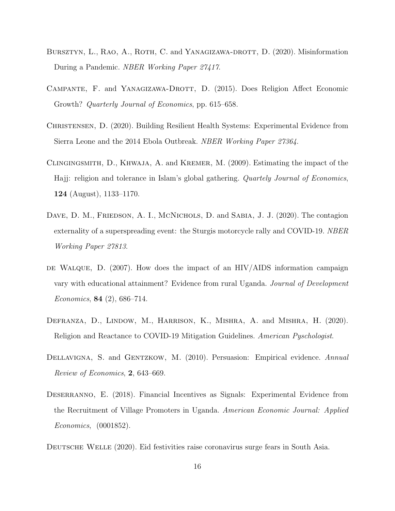- <span id="page-15-0"></span>BURSZTYN, L., RAO, A., ROTH, C. and YANAGIZAWA-DROTT, D. (2020). Misinformation During a Pandemic. NBER Working Paper 27417.
- <span id="page-15-5"></span>CAMPANTE, F. and YANAGIZAWA-DROTT, D. (2015). Does Religion Affect Economic Growth? Quarterly Journal of Economics, pp. 615–658.
- <span id="page-15-1"></span>CHRISTENSEN, D. (2020). Building Resilient Health Systems: Experimental Evidence from Sierra Leone and the 2014 Ebola Outbreak. NBER Working Paper 27364.
- <span id="page-15-6"></span>Clingingsmith, D., Khwaja, A. and Kremer, M. (2009). Estimating the impact of the Hajj: religion and tolerance in Islam's global gathering. Quartely Journal of Economics, 124 (August), 1133–1170.
- <span id="page-15-2"></span>DAVE, D. M., FRIEDSON, A. I., MCNICHOLS, D. and SABIA, J. J. (2020). The contagion externality of a superspreading event: the Sturgis motorcycle rally and COVID-19. NBER Working Paper 27813.
- <span id="page-15-7"></span>DE WALQUE, D.  $(2007)$ . How does the impact of an HIV/AIDS information campaign vary with educational attainment? Evidence from rural Uganda. Journal of Development Economics, 84 (2), 686–714.
- <span id="page-15-3"></span>Defranza, D., Lindow, M., Harrison, K., Mishra, A. and Mishra, H. (2020). Religion and Reactance to COVID-19 Mitigation Guidelines. American Pyschologist.
- <span id="page-15-4"></span>DELLAVIGNA, S. and GENTZKOW, M. (2010). Persuasion: Empirical evidence. Annual Review of Economics, 2, 643–669.
- <span id="page-15-8"></span>Deserranno, E. (2018). Financial Incentives as Signals: Experimental Evidence from the Recruitment of Village Promoters in Uganda. American Economic Journal: Applied Economics, (0001852).

<span id="page-15-9"></span>DEUTSCHE WELLE (2020). Eid festivities raise coronavirus surge fears in South Asia.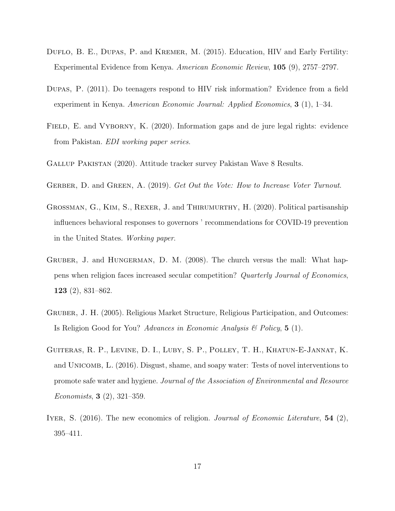- <span id="page-16-5"></span>DUFLO, B. E., DUPAS, P. and KREMER, M. (2015). Education, HIV and Early Fertility: Experimental Evidence from Kenya. American Economic Review, 105 (9), 2757–2797.
- <span id="page-16-4"></span>Dupas, P. (2011). Do teenagers respond to HIV risk information? Evidence from a field experiment in Kenya. American Economic Journal: Applied Economics, 3 (1), 1–34.
- <span id="page-16-8"></span>FIELD, E. and VYBORNY, K. (2020). Information gaps and de jure legal rights: evidence from Pakistan. EDI working paper series.
- <span id="page-16-7"></span>Gallup Pakistan (2020). Attitude tracker survey Pakistan Wave 8 Results.
- <span id="page-16-9"></span>GERBER, D. and GREEN, A. (2019). Get Out the Vote: How to Increase Voter Turnout.
- <span id="page-16-0"></span>Grossman, G., Kim, S., Rexer, J. and Thirumurthy, H. (2020). Political partisanship influences behavioral responses to governors ' recommendations for COVID-19 prevention in the United States. Working paper.
- <span id="page-16-3"></span>Gruber, J. and Hungerman, D. M. (2008). The church versus the mall: What happens when religion faces increased secular competition? Quarterly Journal of Economics, 123 (2), 831–862.
- <span id="page-16-2"></span>Gruber, J. H. (2005). Religious Market Structure, Religious Participation, and Outcomes: Is Religion Good for You? Advances in Economic Analysis  $\mathcal B$  Policy, 5 (1).
- <span id="page-16-6"></span>Guiteras, R. P., Levine, D. I., Luby, S. P., Polley, T. H., Khatun-E-Jannat, K. and Unicomb, L. (2016). Disgust, shame, and soapy water: Tests of novel interventions to promote safe water and hygiene. Journal of the Association of Environmental and Resource Economists, 3 (2), 321–359.
- <span id="page-16-1"></span>IYER, S. (2016). The new economics of religion. Journal of Economic Literature, 54 (2), 395–411.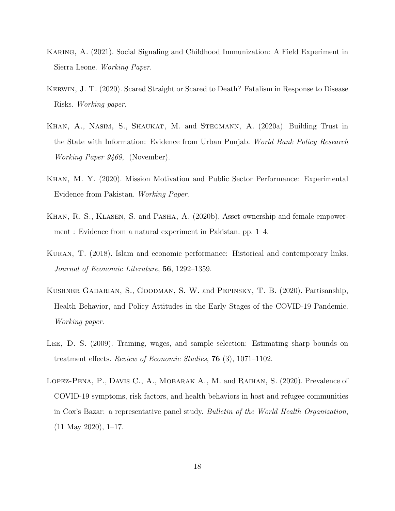- <span id="page-17-5"></span>Karing, A. (2021). Social Signaling and Childhood Immunization: A Field Experiment in Sierra Leone. Working Paper.
- <span id="page-17-3"></span>Kerwin, J. T. (2020). Scared Straight or Scared to Death? Fatalism in Response to Disease Risks. Working paper.
- <span id="page-17-6"></span>Khan, A., Nasim, S., Shaukat, M. and Stegmann, A. (2020a). Building Trust in the State with Information: Evidence from Urban Punjab. World Bank Policy Research Working Paper 9469, (November).
- <span id="page-17-4"></span>Khan, M. Y. (2020). Mission Motivation and Public Sector Performance: Experimental Evidence from Pakistan. Working Paper.
- <span id="page-17-2"></span>KHAN, R. S., KLASEN, S. and PASHA, A. (2020b). Asset ownership and female empowerment : Evidence from a natural experiment in Pakistan. pp. 1–4.
- <span id="page-17-1"></span>Kuran, T. (2018). Islam and economic performance: Historical and contemporary links. Journal of Economic Literature, 56, 1292–1359.
- <span id="page-17-8"></span>Kushner Gadarian, S., Goodman, S. W. and Pepinsky, T. B. (2020). Partisanship, Health Behavior, and Policy Attitudes in the Early Stages of the COVID-19 Pandemic. Working paper.
- <span id="page-17-7"></span>Lee, D. S. (2009). Training, wages, and sample selection: Estimating sharp bounds on treatment effects. Review of Economic Studies, 76 (3), 1071–1102.
- <span id="page-17-0"></span>Lopez-Pena, P., Davis C., A., Mobarak A., M. and Raihan, S. (2020). Prevalence of COVID-19 symptoms, risk factors, and health behaviors in host and refugee communities in Cox's Bazar: a representative panel study. Bulletin of the World Health Organization, (11 May 2020), 1–17.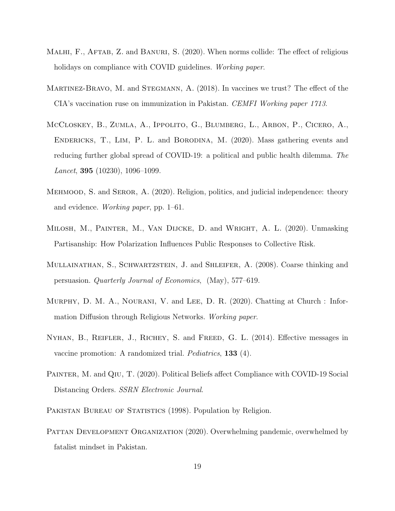- <span id="page-18-1"></span>MALHI, F., AFTAB, Z. and BANURI, S. (2020). When norms collide: The effect of religious holidays on compliance with COVID guidelines. *Working paper*.
- <span id="page-18-2"></span>MARTINEZ-BRAVO, M. and STEGMANN, A. (2018). In vaccines we trust? The effect of the CIA's vaccination ruse on immunization in Pakistan. CEMFI Working paper 1713.
- <span id="page-18-0"></span>McCloskey, B., Zumla, A., Ippolito, G., Blumberg, L., Arbon, P., Cicero, A., ENDERICKS, T., LIM, P. L. and BORODINA, M. (2020). Mass gathering events and reducing further global spread of COVID-19: a political and public health dilemma. The Lancet, 395 (10230), 1096–1099.
- <span id="page-18-4"></span>Mehmood, S. and Seror, A. (2020). Religion, politics, and judicial independence: theory and evidence. Working paper, pp. 1–61.
- <span id="page-18-10"></span>Milosh, M., Painter, M., Van Dijcke, D. and Wright, A. L. (2020). Unmasking Partisanship: How Polarization Influences Public Responses to Collective Risk.
- <span id="page-18-3"></span>Mullainathan, S., Schwartzstein, J. and Shleifer, A. (2008). Coarse thinking and persuasion. Quarterly Journal of Economics, (May), 577–619.
- <span id="page-18-5"></span>Murphy, D. M. A., Nourani, V. and Lee, D. R. (2020). Chatting at Church : Information Diffusion through Religious Networks. Working paper.
- <span id="page-18-6"></span>Nyhan, B., Reifler, J., Richey, S. and Freed, G. L. (2014). Effective messages in vaccine promotion: A randomized trial. Pediatrics, 133 (4).
- <span id="page-18-9"></span>PAINTER, M. and QIU, T. (2020). Political Beliefs affect Compliance with COVID-19 Social Distancing Orders. SSRN Electronic Journal.
- <span id="page-18-7"></span>PAKISTAN BUREAU OF STATISTICS (1998). Population by Religion.
- <span id="page-18-8"></span>PATTAN DEVELOPMENT ORGANIZATION (2020). Overwhelming pandemic, overwhelmed by fatalist mindset in Pakistan.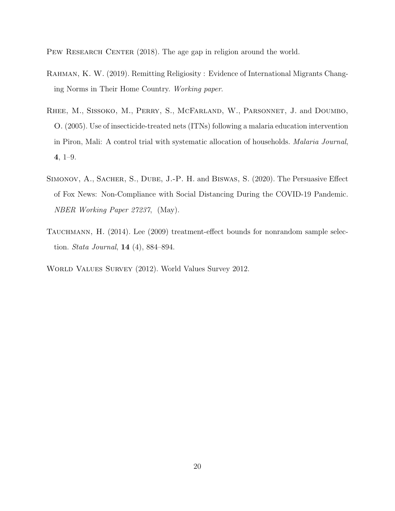<span id="page-19-4"></span>PEW RESEARCH CENTER (2018). The age gap in religion around the world.

- <span id="page-19-1"></span>RAHMAN, K. W. (2019). Remitting Religiosity : Evidence of International Migrants Changing Norms in Their Home Country. Working paper.
- <span id="page-19-2"></span>Rhee, M., Sissoko, M., Perry, S., McFarland, W., Parsonnet, J. and Doumbo, O. (2005). Use of insecticide-treated nets (ITNs) following a malaria education intervention in Piron, Mali: A control trial with systematic allocation of households. Malaria Journal, 4, 1–9.
- <span id="page-19-0"></span>Simonov, A., Sacher, S., Dube, J.-P. H. and Biswas, S. (2020). The Persuasive Effect of Fox News: Non-Compliance with Social Distancing During the COVID-19 Pandemic. NBER Working Paper 27237, (May).
- <span id="page-19-5"></span>TAUCHMANN, H. (2014). Lee (2009) treatment-effect bounds for nonrandom sample selection. *Stata Journal*, **14** (4), 884–894.
- <span id="page-19-3"></span>World Values Survey (2012). World Values Survey 2012.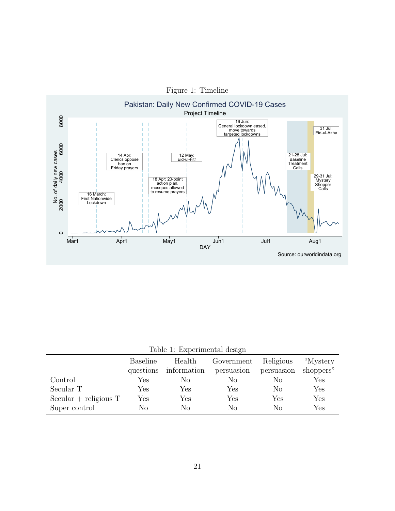<span id="page-20-0"></span>

<span id="page-20-1"></span>Table 1: Experimental design

|                          | <b>Baseline</b>      | Health               | Government           | Religious  | "Mystery"            |
|--------------------------|----------------------|----------------------|----------------------|------------|----------------------|
|                          | questions            | information          | persuasion           | persuasion | shoppers"            |
| $\operatorname{Control}$ | Yes                  | Nο                   | Nο                   | Nο         | Yes                  |
| Secular T                | Yes                  | $\operatorname{Yes}$ | $\operatorname{Yes}$ | $\rm No$   | $\operatorname{Yes}$ |
| $Secular + religious T$  | $\operatorname{Yes}$ | Yes                  | $\operatorname{Yes}$ | Yes        | $\operatorname{Yes}$ |
| Super control            | No                   | No                   | No                   | No         | $\operatorname{Yes}$ |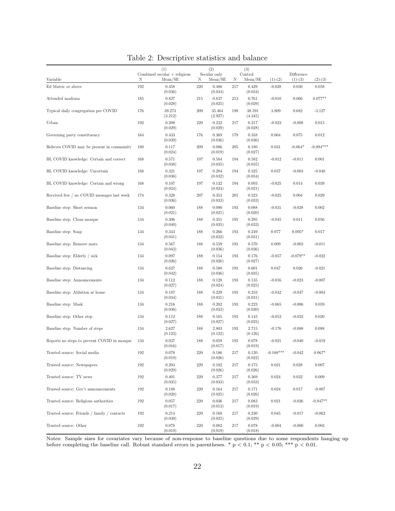|                                             |     | (1)<br>Combined secular $+$ religious |     | (2)<br>Secular only  |     | (3)<br>Control    |            | Difference |             |
|---------------------------------------------|-----|---------------------------------------|-----|----------------------|-----|-------------------|------------|------------|-------------|
| Variable                                    | Ν   | Mean/SE                               | Ν   | Mean/SE              | Ν   | Mean/SE           | $(1)-(2)$  | $(1)-(3)$  | $(2)-(3)$   |
| Ed Matric or above                          | 192 | 0.458<br>(0.036)                      | 220 | 0.486<br>(0.034)     | 217 | 0.429<br>(0.034)  | $-0.028$   | 0.030      | 0.058       |
| Attended madrasa                            | 185 | 0.827<br>(0.028)                      | 215 | 0.837<br>(0.025)     | 213 | 0.761<br>(0.029)  | $-0.010$   | 0.066      | $0.077**$   |
| Typical daily congregation pre COVID        | 176 | 39.273<br>(3.212)                     | 209 | 35.464<br>(2.927)    | 198 | 38.591<br>(4.345) | 3.809      | 0.682      | $-3.127$    |
| Urban                                       | 192 | 0.208<br>(0.029)                      | 220 | 0.232<br>(0.029)     | 217 | 0.217<br>(0.028)  | $-0.023$   | $-0.008$   | 0.015       |
| Governing party constituency                | 164 | 0.433<br>(0.039)                      | 176 | 0.369<br>(0.036)     | 179 | 0.358<br>(0.036)  | 0.064      | 0.075      | 0.012       |
| Believes COVID may be present in community  | 180 | 0.117<br>(0.024)                      | 209 | 0.086<br>(0.019)     | 205 | 0.180<br>(0.027)  | 0.031      | $-0.064*$  | $-0.094***$ |
| BL COVID knowledge: Certain and correct     | 168 | 0.571<br>(0.038)                      | 197 | 0.584<br>(0.035)     | 194 | 0.582<br>(0.035)  | $-0.012$   | $-0.011$   | 0.001       |
| BL COVID knowledge: Uncertain               | 168 | 0.321<br>(0.036)                      | 197 | 0.284<br>(0.032)     | 194 | 0.325<br>(0.034)  | 0.037      | $-0.003$   | $-0.040$    |
| BL COVID knowledge: Certain and wrong       | 168 | 0.107<br>(0.024)                      | 197 | 0.132<br>(0.024)     | 194 | 0.093<br>(0.021)  | $-0.025$   | 0.014      | 0.039       |
| Received few / no COVID messages last week  | 174 | 0.328<br>(0.036)                      | 207 | 0.353<br>(0.033)     | 201 | 0.323<br>(0.033)  | $-0.025$   | 0.004      | 0.029       |
| Baseline step: Short sermon                 | 134 | 0.060<br>(0.021)                      | 188 | 0.090<br>(0.021)     | 193 | 0.088<br>(0.020)  | $-0.031$   | $-0.028$   | 0.002       |
| Baseline step: Clean mosque                 | 134 | 0.306<br>(0.040)                      | 188 | 0.351<br>(0.035)     | 193 | 0.295<br>(0.033)  | $-0.045$   | 0.011      | 0.056       |
| Baseline step: Soap                         | 134 | 0.343<br>(0.041)                      | 188 | 0.266<br>(0.032)     | 193 | 0.249<br>(0.031)  | 0.077      | $0.095*$   | 0.017       |
| Baseline step: Remove mats                  | 134 | 0.567<br>(0.043)                      | 188 | 0.559<br>(0.036)     | 193 | 0.570<br>(0.036)  | 0.009      | $-0.003$   | $-0.011$    |
| Baseline step: Elderly / sick               | 134 | 0.097<br>(0.026)                      | 188 | 0.154<br>(0.026)     | 193 | 0.176<br>(0.027)  | $-0.057$   | $-0.079**$ | $-0.022$    |
| Baseline step: Distancing                   | 134 | 0.627<br>(0.042)                      | 188 | 0.580<br>(0.036)     | 193 | 0.601<br>(0.035)  | 0.047      | 0.026      | $-0.021$    |
| Baseline step: Announcements                | 134 | 0.112<br>(0.027)                      | 188 | $0.128\,$<br>(0.024) | 193 | 0.135<br>(0.025)  | $-0.016$   | $-0.023$   | $-0.007$    |
| Baseline step: Ablution at home             | 134 | 0.187<br>(0.034)                      | 188 | 0.229<br>(0.031)     | 193 | 0.233<br>(0.031)  | $-0.042$   | $-0.047$   | $-0.004$    |
| Baseline step: Mask                         | 134 | 0.216<br>(0.036)                      | 188 | 0.282<br>(0.033)     | 193 | 0.223<br>(0.030)  | $-0.065$   | $-0.006$   | 0.059       |
| Baseline step: Other step                   | 134 | 0.112<br>(0.027)                      | 188 | 0.165<br>(0.027)     | 193 | 0.145<br>(0.025)  | $-0.053$   | $-0.033$   | 0.020       |
| Baseline step: Number of steps              | 134 | 2.627<br>(0.123)                      | 188 | 2.803<br>(0.122)     | 193 | 2.715<br>(0.126)  | $-0.176$   | $-0.088$   | 0.088       |
| Reports no steps to prevent COVID in mosque | 134 | 0.037<br>(0.016)                      | 188 | 0.059<br>(0.017)     | 193 | 0.078<br>(0.019)  | $-0.021$   | $-0.040$   | $-0.019$    |
| Trusted source: Social media                | 192 | 0.078<br>(0.019)                      | 220 | 0.186<br>(0.026)     | 217 | 0.120<br>(0.022)  | $0.108***$ | $-0.042$   | $0.067*$    |
| Trusted source: Newspapers                  | 192 | 0.203<br>(0.029)                      | 220 | 0.182<br>(0.026)     | 217 | 0.175<br>(0.026)  | 0.021      | 0.028      | 0.007       |
| Trusted source: TV news                     | 192 | 0.401<br>(0.035)                      | 220 | 0.377<br>(0.033)     | 217 | 0.369<br>(0.033)  | 0.024      | 0.032      | 0.009       |
| Trusted source: Gov't announcements         | 192 | 0.188<br>(0.028)                      | 220 | 0.164<br>(0.025)     | 217 | 0.171<br>(0.026)  | 0.024      | 0.017      | $-0.007$    |
| Trusted source: Religious authorities       | 192 | 0.057<br>(0.017)                      | 220 | 0.036<br>(0.013)     | 217 | 0.083<br>(0.019)  | 0.021      | $-0.026$   | $-0.047**$  |
| Trusted source: Friends / family / contacts | 192 | 0.214<br>(0.030)                      | 220 | 0.168<br>(0.025)     | 217 | 0.230<br>(0.029)  | 0.045      | $-0.017$   | $-0.062$    |
| Trusted source: Other                       | 192 | 0.078<br>(0.019)                      | 220 | 0.082<br>(0.019)     | 217 | 0.078<br>(0.018)  | $-0.004$   | $-0.000$   | 0.003       |

<span id="page-21-0"></span>Table 2: Descriptive statistics and balance

Notes: Sample sizes for covariates vary because of non-response to baseline questions due to some respondents hanging up before completing the baseline call. Robust standard errors in parentheses. \*  $p < 0.1$ ; \*\*  $p < 0.05$ ; \*\*\*  $p < 0.01$ .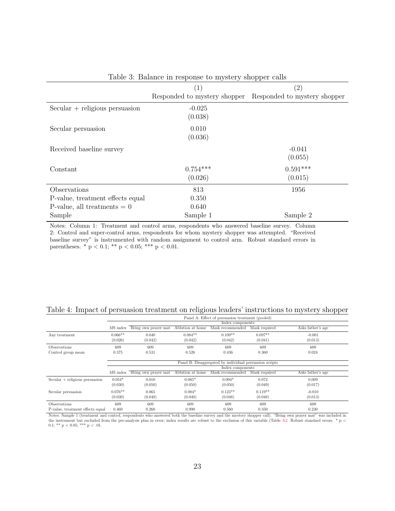|                                  | (1)                          | $\left( 2\right)$            |
|----------------------------------|------------------------------|------------------------------|
|                                  | Responded to mystery shopper | Responded to mystery shopper |
| $Secular + religious person$     | $-0.025$<br>(0.038)          |                              |
| Secular persuasion               | 0.010<br>(0.036)             |                              |
| Received baseline survey         |                              | $-0.041$<br>(0.055)          |
| Constant                         | $0.754***$<br>(0.026)        | $0.591***$<br>(0.015)        |
| Observations                     | 813                          | 1956                         |
| P-value, treatment effects equal | 0.350                        |                              |
| P-value, all treatments $= 0$    | 0.640                        |                              |
| Sample                           | Sample 1                     | Sample 2                     |

<span id="page-22-0"></span>Table 3: Balance in response to mystery shopper calls

Notes: Column 1: Treatment and control arms, respondents who answered baseline survey. Column 2: Control and super-control arms, respondents for whom mystery shopper was attempted. "Received baseline survey" is instrumented with random assignment to control arm. Robust standard errors in parentheses. \* p < 0.1; \*\* p < 0.05; \*\*\* p < 0.01.

<span id="page-22-1"></span>

| Table 4: Impact of persuasion treatment on religious leaders' instructions to mystery shopper |                                                  |  |  |
|-----------------------------------------------------------------------------------------------|--------------------------------------------------|--|--|
|                                                                                               | Panel A: Effect of persuasion treatment (pooled) |  |  |

|                                                                                                                                                                                                                                                                                                                                                                                                                                                                                                                                 |           |                      |                  | Panel A: Effect of persuasion treatment (pooled) |                                                   |                   |  |  |  |  |
|---------------------------------------------------------------------------------------------------------------------------------------------------------------------------------------------------------------------------------------------------------------------------------------------------------------------------------------------------------------------------------------------------------------------------------------------------------------------------------------------------------------------------------|-----------|----------------------|------------------|--------------------------------------------------|---------------------------------------------------|-------------------|--|--|--|--|
|                                                                                                                                                                                                                                                                                                                                                                                                                                                                                                                                 |           |                      |                  |                                                  |                                                   |                   |  |  |  |  |
|                                                                                                                                                                                                                                                                                                                                                                                                                                                                                                                                 | MS index  | Bring own prayer mat | Ablution at home | Mask recommended                                 | Mask required                                     | Asks father's age |  |  |  |  |
| Any treatment                                                                                                                                                                                                                                                                                                                                                                                                                                                                                                                   | $0.066**$ | 0.040                | $0.084**$        | $0.109**$                                        | $0.097**$                                         | $-0.001$          |  |  |  |  |
|                                                                                                                                                                                                                                                                                                                                                                                                                                                                                                                                 | (0.026)   | (0.042)              | (0.042)          | (0.042)                                          | (0.041)                                           | (0.013)           |  |  |  |  |
| <b>Observations</b>                                                                                                                                                                                                                                                                                                                                                                                                                                                                                                             | 609       | 609                  | 609              | 609                                              | 609                                               | 609               |  |  |  |  |
| Control group mean                                                                                                                                                                                                                                                                                                                                                                                                                                                                                                              | 0.375     | 0.531                | 0.526            | 0.436                                            | 0.360                                             | 0.024             |  |  |  |  |
|                                                                                                                                                                                                                                                                                                                                                                                                                                                                                                                                 |           |                      |                  |                                                  |                                                   |                   |  |  |  |  |
| Index components:<br>Panel B: Disaggregated by individual persuasion scripts<br>Index components:<br>Ablution at home<br>MS index<br>Bring own prayer mat<br>Mask recommended<br>Mask required<br>$0.054*$<br>$0.085*$<br>$0.094*$<br>$Secular + religious person$<br>0.010<br>0.072<br>0.009<br>(0.050)<br>(0.030)<br>(0.050)<br>(0.050)<br>(0.049)<br>(0.017)<br>$0.076**$<br>$0.123**$<br>$0.084*$<br>$0.119**$<br>0.065<br>$-0.010$<br>Secular persuasion<br>(0.030)<br>(0.048)<br>(0.048)<br>(0.048)<br>(0.048)<br>(0.013) |           |                      |                  |                                                  |                                                   |                   |  |  |  |  |
|                                                                                                                                                                                                                                                                                                                                                                                                                                                                                                                                 |           |                      |                  |                                                  |                                                   |                   |  |  |  |  |
|                                                                                                                                                                                                                                                                                                                                                                                                                                                                                                                                 |           |                      |                  |                                                  | Asks father's age<br>609<br>609<br>0.230<br>0.350 |                   |  |  |  |  |
|                                                                                                                                                                                                                                                                                                                                                                                                                                                                                                                                 |           |                      |                  |                                                  |                                                   |                   |  |  |  |  |
|                                                                                                                                                                                                                                                                                                                                                                                                                                                                                                                                 |           |                      |                  |                                                  |                                                   |                   |  |  |  |  |
|                                                                                                                                                                                                                                                                                                                                                                                                                                                                                                                                 |           |                      |                  |                                                  |                                                   |                   |  |  |  |  |
|                                                                                                                                                                                                                                                                                                                                                                                                                                                                                                                                 |           |                      |                  |                                                  |                                                   |                   |  |  |  |  |
| Observations                                                                                                                                                                                                                                                                                                                                                                                                                                                                                                                    | 609       | 609                  | 609              | 609                                              |                                                   |                   |  |  |  |  |
| P-value, treatment effects equal                                                                                                                                                                                                                                                                                                                                                                                                                                                                                                | 0.460     | 0.260                | 0.990            | 0.560                                            |                                                   |                   |  |  |  |  |

Notes: Sample 1 (treatment and control, respondents who answered both the baseline survey and the mystery shopper call). "Bring own prayer mat" was included in the instrument but excluded from the pre-analysis plan in error; index results are robust to the exclusion of this variable (Table [A2.](#page-21-0) Robust standard errors. \* p < 0.1; \*\* p < 0.05; \*\*\* p < .01.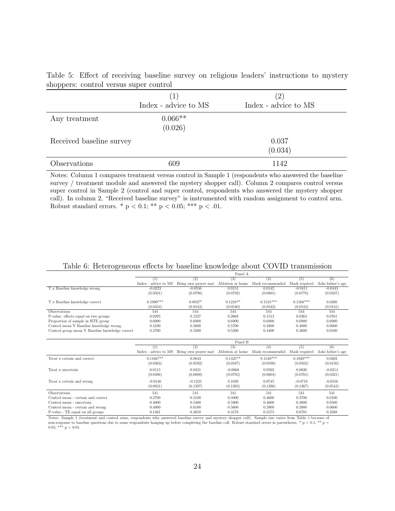<span id="page-23-0"></span>

|  |                                        |  |  | Table 5: Effect of receiving baseline survey on religious leaders' instructions to mystery |  |
|--|----------------------------------------|--|--|--------------------------------------------------------------------------------------------|--|
|  | shoppers: control versus super control |  |  |                                                                                            |  |

|                          | (1)<br>Index - advice to MS | (2)<br>Index - advice to MS |
|--------------------------|-----------------------------|-----------------------------|
| Any treatment            | $0.066**$<br>(0.026)        |                             |
| Received baseline survey |                             | 0.037<br>(0.034)            |
| Observations             | 609                         | 1142                        |

Notes: Column 1 compares treatment versus control in Sample 1 (respondents who answered the baseline survey / treatment module and answered the mystery shopper call). Column 2 compares control versus super control in Sample 2 (control and super control, respondents who answered the mystery shopper call). In column 2, "Received baseline survey" is instrumented with random assignment to control arm. Robust standard errors. \*  $p < 0.1$ ; \*\*  $p < 0.05$ ; \*\*\*  $p < .01$ .

<span id="page-23-1"></span>

|  |  |  | Table 6: Heterogeneous effects by baseline knowledge about COVID transmission |
|--|--|--|-------------------------------------------------------------------------------|
|  |  |  |                                                                               |

|                      |                      | Panel A              |                            |                            |                                                                                        |
|----------------------|----------------------|----------------------|----------------------------|----------------------------|----------------------------------------------------------------------------------------|
| (1)                  | (2)                  | (3)                  | (4)                        | (5)                        | (6)                                                                                    |
|                      |                      |                      |                            |                            | Asks father's age                                                                      |
| $-0.0223$            | $-0.0556$            |                      |                            |                            | $-0.0443$                                                                              |
| (0.0501)             | (0.0798)             | (0.0792)             | (0.0801)                   | (0.0778)                   | (0.0337)                                                                               |
| $0.1090***$          | $0.0937*$            | $0.1216**$           | $0.1531***$                | $0.1568***$                | 0.0200                                                                                 |
| (0.0334)             | (0.0543)             | (0.0540)             | (0.0542)                   | (0.0533)                   | (0.0131)                                                                               |
| 544                  | 544                  | 544                  | 544                        | 544                        | 544                                                                                    |
| 0.0295               | 0.1227               | 0.2668               | 0.1513                     | 0.0363                     | 0.0761                                                                                 |
| 0.6900               | 0.6900               | 0.6900               | 0.6900                     | 0.6900                     | 0.6900                                                                                 |
| 0.4100               | 0.5600               | 0.5700               | 0.4800                     | 0.4000                     | 0.0600                                                                                 |
| 0.3700               | 0.5200               | 0.5200               | 0.4400                     | 0.3600                     | 0.0100                                                                                 |
|                      |                      |                      |                            |                            |                                                                                        |
|                      |                      | Panel B              |                            |                            |                                                                                        |
| $\left(1\right)$     | (2)                  | (3)                  | (4)                        | (5)                        | (6)                                                                                    |
| Index - advice to MS | Bring own prayer mat | Ablution at home     | Mask recommended           | Mask required              | Asks father's age                                                                      |
| $0.1166***$          | 0.0843               | $0.1425**$           | $0.1540***$                | $0.1820***$                | 0.0202                                                                                 |
| (0.0363)             | (0.0592)             | (0.0587)             | (0.0590)                   | (0.0582)                   | (0.0150)                                                                               |
| 0.0115               | 0.0331               | $-0.0068$            | 0.0502                     | 0.0026                     | $-0.0214$                                                                              |
|                      |                      |                      |                            |                            | (0.0321)                                                                               |
|                      |                      |                      |                            |                            |                                                                                        |
| $-0.0146$            | $-0.1233$            | 0.1030               | 0.0745                     | $-0.0718$                  | $-0.0556$                                                                              |
| (0.0931)             | (0.1397)             | (0.1393)             | (0.1396)                   | (0.1367)                   | (0.0543)                                                                               |
| 541                  | 541                  | 541                  | 541                        | 541                        | 541                                                                                    |
| 0.3700               | 0.5100               | 0.5000               | 0.4600                     | 0.3700                     | 0.0100                                                                                 |
| 0.4000               | 0.5400               | 0.5900               | 0.4600                     | 0.3800                     | 0.0500                                                                                 |
| 0.4000               | 0.6100               | 0.5600               | 0.3900                     | 0.3900                     | 0.0600                                                                                 |
|                      | Index - advice to MS | Bring own prayer mat | Ablution at home<br>0.0151 | Mask recommended<br>0.0142 | Mask required<br>$-0.0411$<br>(0.0496)<br>(0.0781)<br>(0.0800)<br>(0.0793)<br>(0.0804) |

Notes: Sample 1 (treatment and control arms, respondents who answered baseline survey and mystery shopper call). Sample size varies from Table [4](#page-22-1) because of non-response to baseline questions due to some respondents hanging up before completing the baseline call. Robust standard errors in parentheses. \* p < 0.1; \*\* p < 0.05; \*\*\*  $p < 0.01$ .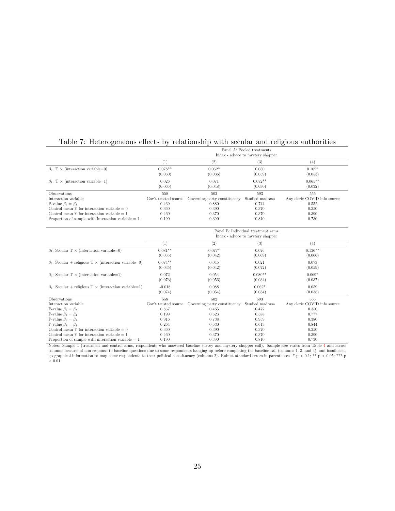### <span id="page-24-0"></span>Table 7: Heterogeneous effects by relationship with secular and religious authorities

|                                                      |                      | Panel A: Pooled treatments<br>Index - advice to mystery shopper |                      |                              |  |  |  |  |  |
|------------------------------------------------------|----------------------|-----------------------------------------------------------------|----------------------|------------------------------|--|--|--|--|--|
|                                                      | T                    | $\left( 2\right)$                                               | (3)                  | (4)                          |  |  |  |  |  |
| $\beta_2$ : T $\times$ (interaction variable=0)      | $0.078**$<br>(0.030) | $0.062*$<br>(0.036)                                             | 0.050<br>(0.059)     | $0.102*$<br>(0.053)          |  |  |  |  |  |
| $\beta_1$ : T × (interaction variable=1)             | 0.026<br>(0.065)     | 0.071<br>(0.048)                                                | $0.072**$<br>(0.030) | $0.065**$<br>(0.032)         |  |  |  |  |  |
| <b>Observations</b>                                  | 558                  | 502                                                             | 593                  | 555                          |  |  |  |  |  |
| Interaction variable                                 | Gov't trusted source | Governing party constituency                                    | Studied madrasa      | Any cleric COVID info source |  |  |  |  |  |
| P-value $\beta_1 = \beta_2$                          | 0.469                | 0.880                                                           | 0.744                | 0.552                        |  |  |  |  |  |
| Control mean Y for interaction variable $= 0$        | 0.360                | 0.390                                                           | 0.370                | 0.350                        |  |  |  |  |  |
| Control mean Y for interaction variable $= 1$        | 0.460                | 0.370                                                           | 0.370                | 0.390                        |  |  |  |  |  |
| Proportion of sample with interaction variable $= 1$ | 0.190                | 0.390                                                           | 0.810                | 0.730                        |  |  |  |  |  |

|                                                              |                      |                              | Panel B: Individual treatment arms<br>Index - advice to mystery shopper |                              |
|--------------------------------------------------------------|----------------------|------------------------------|-------------------------------------------------------------------------|------------------------------|
|                                                              | (1)                  | (2)                          | (3)                                                                     | (4)                          |
| $\beta_1$ : Secular T × (interaction variable=0)             | $0.081**$<br>(0.035) | $0.077*$<br>(0.042)          | 0.076<br>(0.069)                                                        | $0.136**$<br>(0.066)         |
| $\beta_2$ : Secular + religious T × (interaction variable=0) | $0.074**$<br>(0.035) | 0.045<br>(0.042)             | 0.021<br>(0.072)                                                        | 0.073<br>(0.059)             |
| $\beta_3$ : Secular T × (interaction variable=1)             | 0.072<br>(0.073)     | 0.054<br>(0.056)             | $0.080**$<br>(0.034)                                                    | $0.069*$<br>(0.037)          |
| $\beta_4$ : Secular + religious T × (interaction variable=1) | $-0.018$<br>(0.074)  | 0.088<br>(0.054)             | $0.062*$<br>(0.034)                                                     | 0.059<br>(0.038)             |
| Observations                                                 | 558                  | 502                          | 593                                                                     | 555                          |
| Interaction variable                                         | Gov't trusted source | Governing party constituency | Studied madrasa                                                         | Any cleric COVID info source |
| P-value $\beta_1 = \beta_2$                                  | 0.837                | 0.465                        | 0.472                                                                   | 0.350                        |
| P-value $\beta_3 = \beta_4$                                  | 0.199                | 0.523                        | 0.588                                                                   | 0.777                        |
| P-value $\beta_1 = \beta_3$                                  | 0.916                | 0.738                        | 0.959                                                                   | 0.380                        |
| P-value $\beta_2 = \beta_4$                                  | 0.264                | 0.530                        | 0.613                                                                   | 0.844                        |
| Control mean Y for interaction variable $= 0$                | 0.360                | 0.390                        | 0.370                                                                   | 0.350                        |
| Control mean Y for interaction variable $= 1$                | 0.460                | 0.370                        | 0.370                                                                   | 0.390                        |
| Proportion of sample with interaction variable $= 1$         | 0.190                | 0.390                        | 0.810                                                                   | 0.730                        |

Notes: Sample 1 (treatment and control arms, respondents who answered baseline survey and mystery shopper call). Sample size varies from Table <sup>4</sup> and across Exercise. Surface 1 (idealing a[nd](#page-22-1) control allies, response to baseline survey and mystery shopper can). Sample size varies non-table 4 and actoorders and actordinate to some respondents hanging up before completing the ba